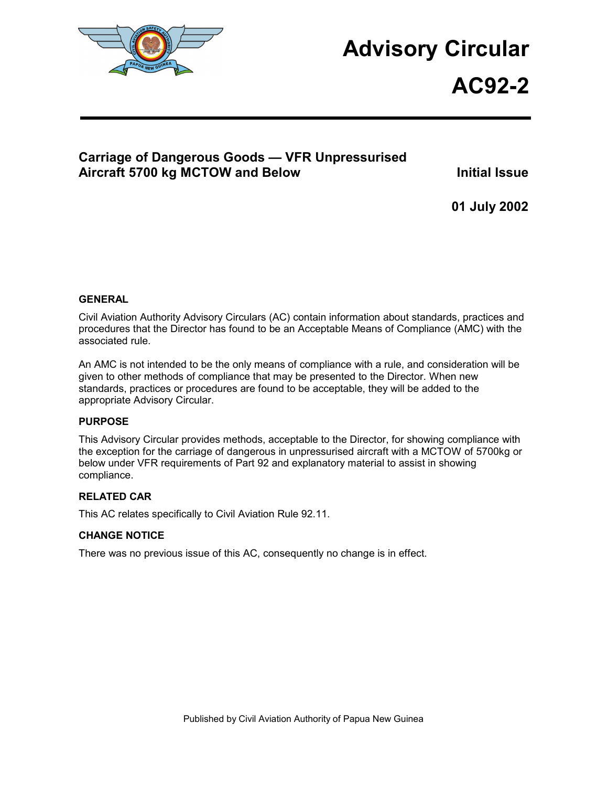

# **Advisory Circular**

**AC92-2**

## **Carriage of Dangerous Goods — VFR Unpressurised**  Aircraft 5700 kg MCTOW and Below **Initial Issue**

**01 July 2002** 

#### **GENERAL**

Civil Aviation Authority Advisory Circulars (AC) contain information about standards, practices and procedures that the Director has found to be an Acceptable Means of Compliance (AMC) with the associated rule.

An AMC is not intended to be the only means of compliance with a rule, and consideration will be given to other methods of compliance that may be presented to the Director. When new standards, practices or procedures are found to be acceptable, they will be added to the appropriate Advisory Circular.

#### **PURPOSE**

This Advisory Circular provides methods, acceptable to the Director, for showing compliance with the exception for the carriage of dangerous in unpressurised aircraft with a MCTOW of 5700kg or below under VFR requirements of Part 92 and explanatory material to assist in showing compliance.

#### **RELATED CAR**

This AC relates specifically to Civil Aviation Rule 92.11.

#### **CHANGE NOTICE**

There was no previous issue of this AC, consequently no change is in effect.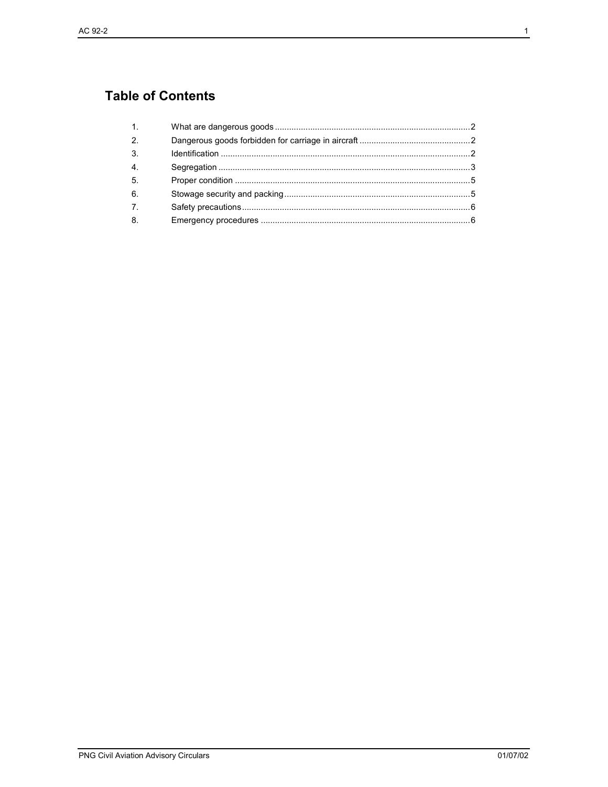## **Table of Contents**

| 1 <sup>1</sup>   |  |
|------------------|--|
| 2.               |  |
| 3.               |  |
| 4.               |  |
| 5.               |  |
| 6.               |  |
| $\overline{7}$ . |  |
| 8.               |  |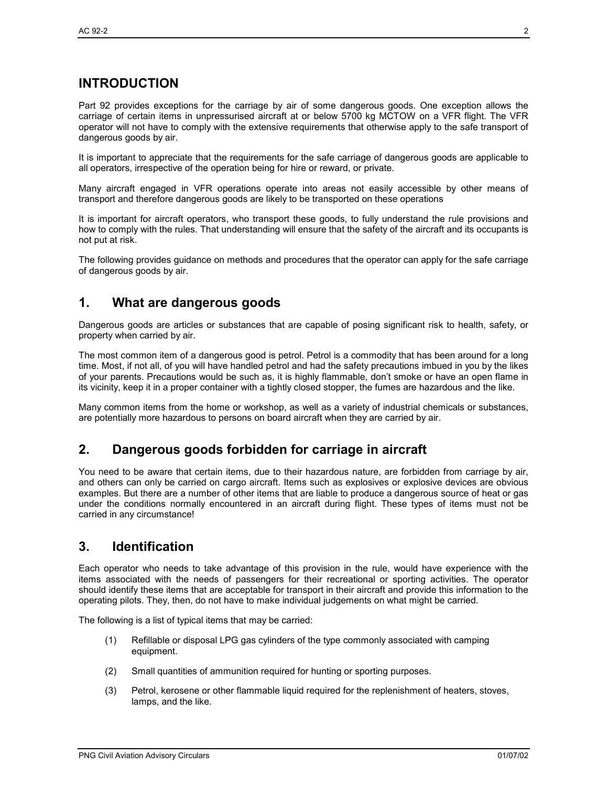## **INTRODUCTION**

Part 92 provides exceptions for the carriage by air of some dangerous goods. One exception allows the carriage of certain items in unpressurised aircraft at or below 5700 kg MCTOW on a VFR flight. The VFR operator will not have to comply with the extensive requirements that otherwise apply to the safe transport of dangerous goods by air.

It is important to appreciate that the requirements for the safe carriage of dangerous goods are applicable to all operators, irrespective of the operation being for hire or reward, or private.

Many aircraft engaged in VFR operations operate into areas not easily accessible by other means of transport and therefore dangerous goods are likely to be transported on these operations

It is important for aircraft operators, who transport these goods, to fully understand the rule provisions and how to comply with the rules. That understanding will ensure that the safety of the aircraft and its occupants is not put at risk.

The following provides guidance on methods and procedures that the operator can apply for the safe carriage of dangerous goods by air.

#### **1. What are dangerous goods**

Dangerous goods are articles or substances that are capable of posing significant risk to health, safety, or property when carried by air.

The most common item of a dangerous good is petrol. Petrol is a commodity that has been around for a long time. Most, if not all, of you will have handled petrol and had the safety precautions imbued in you by the likes of your parents. Precautions would be such as, it is highly flammable, don't smoke or have an open flame in its vicinity, keep it in a proper container with a tightly closed stopper, the fumes are hazardous and the like.

Many common items from the home or workshop, as well as a variety of industrial chemicals or substances, are potentially more hazardous to persons on board aircraft when they are carried by air.

#### **2. Dangerous goods forbidden for carriage in aircraft**

You need to be aware that certain items, due to their hazardous nature, are forbidden from carriage by air, and others can only be carried on cargo aircraft. Items such as explosives or explosive devices are obvious examples. But there are a number of other items that are liable to produce a dangerous source of heat or gas under the conditions normally encountered in an aircraft during flight. These types of items must not be carried in any circumstance!

#### **3. Identification**

Each operator who needs to take advantage of this provision in the rule, would have experience with the items associated with the needs of passengers for their recreational or sporting activities. The operator should identify these items that are acceptable for transport in their aircraft and provide this information to the operating pilots. They, then, do not have to make individual judgements on what might be carried.

The following is a list of typical items that may be carried:

- (1) Refillable or disposal LPG gas cylinders of the type commonly associated with camping equipment.
- (2) Small quantities of ammunition required for hunting or sporting purposes.
- (3) Petrol, kerosene or other flammable liquid required for the replenishment of heaters, stoves, lamps, and the like.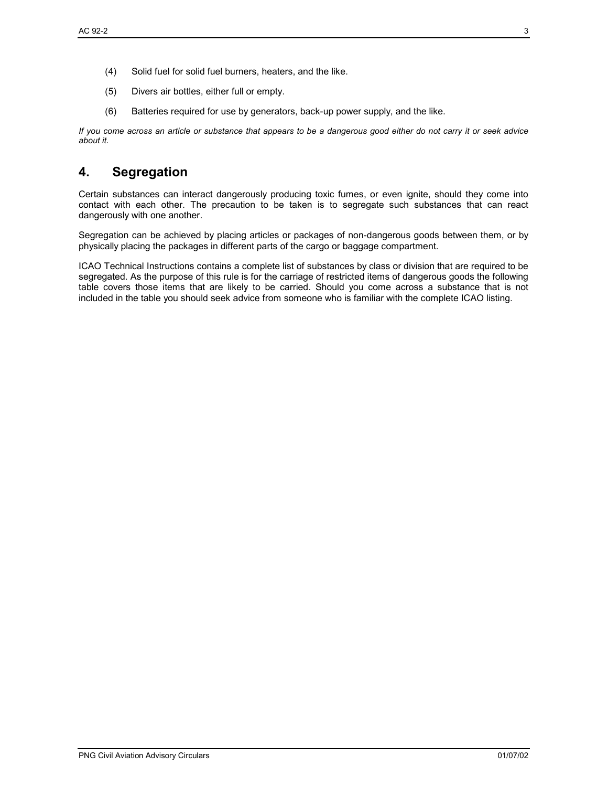- (4) Solid fuel for solid fuel burners, heaters, and the like.
- (5) Divers air bottles, either full or empty.
- (6) Batteries required for use by generators, back-up power supply, and the like.

*If you come across an article or substance that appears to be a dangerous good either do not carry it or seek advice about it.* 

#### **4. Segregation**

Certain substances can interact dangerously producing toxic fumes, or even ignite, should they come into contact with each other. The precaution to be taken is to segregate such substances that can react dangerously with one another.

Segregation can be achieved by placing articles or packages of non-dangerous goods between them, or by physically placing the packages in different parts of the cargo or baggage compartment.

ICAO Technical Instructions contains a complete list of substances by class or division that are required to be segregated. As the purpose of this rule is for the carriage of restricted items of dangerous goods the following table covers those items that are likely to be carried. Should you come across a substance that is not included in the table you should seek advice from someone who is familiar with the complete ICAO listing.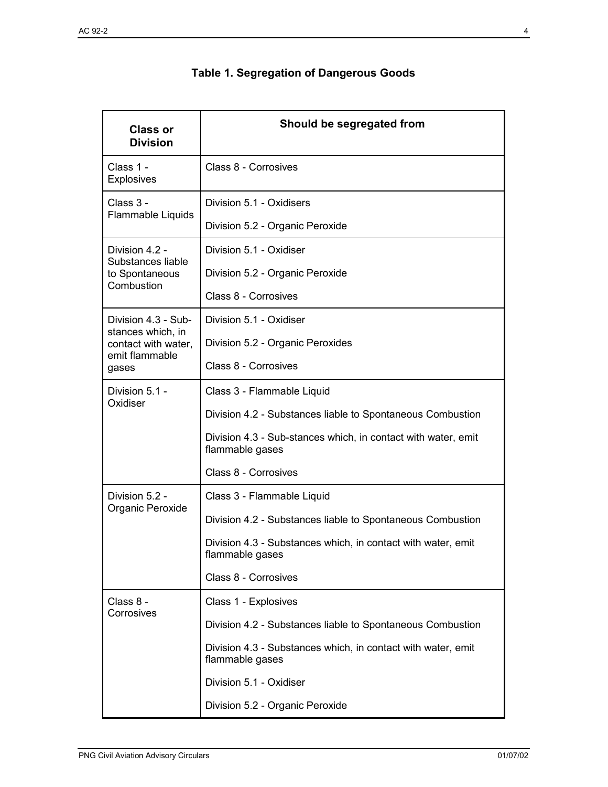| <b>Class or</b><br><b>Division</b>       | Should be segregated from                                                        |
|------------------------------------------|----------------------------------------------------------------------------------|
| Class 1 -<br><b>Explosives</b>           | Class 8 - Corrosives                                                             |
| Class 3 -                                | Division 5.1 - Oxidisers                                                         |
| Flammable Liquids                        | Division 5.2 - Organic Peroxide                                                  |
| Division 4.2 -<br>Substances liable      | Division 5.1 - Oxidiser                                                          |
| to Spontaneous<br>Combustion             | Division 5.2 - Organic Peroxide                                                  |
|                                          | Class 8 - Corrosives                                                             |
| Division 4.3 - Sub-<br>stances which, in | Division 5.1 - Oxidiser                                                          |
| contact with water,<br>emit flammable    | Division 5.2 - Organic Peroxides                                                 |
| gases                                    | Class 8 - Corrosives                                                             |
| Division 5.1 -                           | Class 3 - Flammable Liquid                                                       |
| Oxidiser                                 | Division 4.2 - Substances liable to Spontaneous Combustion                       |
|                                          | Division 4.3 - Sub-stances which, in contact with water, emit<br>flammable gases |
|                                          | Class 8 - Corrosives                                                             |
| Division 5.2 -                           | Class 3 - Flammable Liquid                                                       |
| Organic Peroxide                         | Division 4.2 - Substances liable to Spontaneous Combustion                       |
|                                          | Division 4.3 - Substances which, in contact with water, emit<br>flammable gases  |
|                                          | Class 8 - Corrosives                                                             |
| Class 8 -                                | Class 1 - Explosives                                                             |
| Corrosives                               | Division 4.2 - Substances liable to Spontaneous Combustion                       |
|                                          | Division 4.3 - Substances which, in contact with water, emit<br>flammable gases  |
|                                          | Division 5.1 - Oxidiser                                                          |
|                                          | Division 5.2 - Organic Peroxide                                                  |

## **Table 1. Segregation of Dangerous Goods**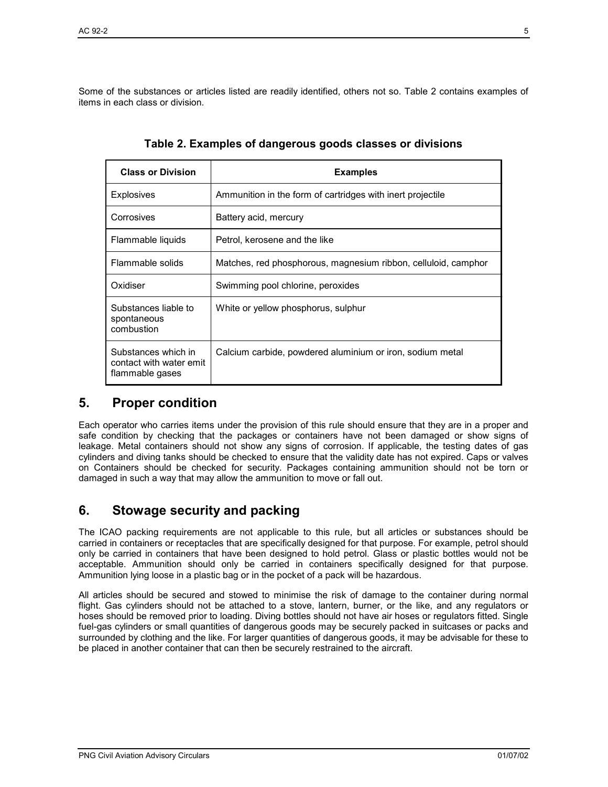Some of the substances or articles listed are readily identified, others not so. Table 2 contains examples of items in each class or division.

| <b>Class or Division</b>                                          | <b>Examples</b>                                                |
|-------------------------------------------------------------------|----------------------------------------------------------------|
| Explosives                                                        | Ammunition in the form of cartridges with inert projectile     |
| Corrosives                                                        | Battery acid, mercury                                          |
| Flammable liquids                                                 | Petrol, kerosene and the like                                  |
| Flammable solids                                                  | Matches, red phosphorous, magnesium ribbon, celluloid, camphor |
| Oxidiser                                                          | Swimming pool chlorine, peroxides                              |
| Substances liable to<br>spontaneous<br>combustion                 | White or yellow phosphorus, sulphur                            |
| Substances which in<br>contact with water emit<br>flammable gases | Calcium carbide, powdered aluminium or iron, sodium metal      |

**Table 2. Examples of dangerous goods classes or divisions** 

#### **5. Proper condition**

Each operator who carries items under the provision of this rule should ensure that they are in a proper and safe condition by checking that the packages or containers have not been damaged or show signs of leakage. Metal containers should not show any signs of corrosion. If applicable, the testing dates of gas cylinders and diving tanks should be checked to ensure that the validity date has not expired. Caps or valves on Containers should be checked for security. Packages containing ammunition should not be torn or damaged in such a way that may allow the ammunition to move or fall out.

#### **6. Stowage security and packing**

The ICAO packing requirements are not applicable to this rule, but all articles or substances should be carried in containers or receptacles that are specifically designed for that purpose. For example, petrol should only be carried in containers that have been designed to hold petrol. Glass or plastic bottles would not be acceptable. Ammunition should only be carried in containers specifically designed for that purpose. Ammunition lying loose in a plastic bag or in the pocket of a pack will be hazardous.

All articles should be secured and stowed to minimise the risk of damage to the container during normal flight. Gas cylinders should not be attached to a stove, lantern, burner, or the like, and any regulators or hoses should be removed prior to loading. Diving bottles should not have air hoses or regulators fitted. Single fuel-gas cylinders or small quantities of dangerous goods may be securely packed in suitcases or packs and surrounded by clothing and the like. For larger quantities of dangerous goods, it may be advisable for these to be placed in another container that can then be securely restrained to the aircraft.